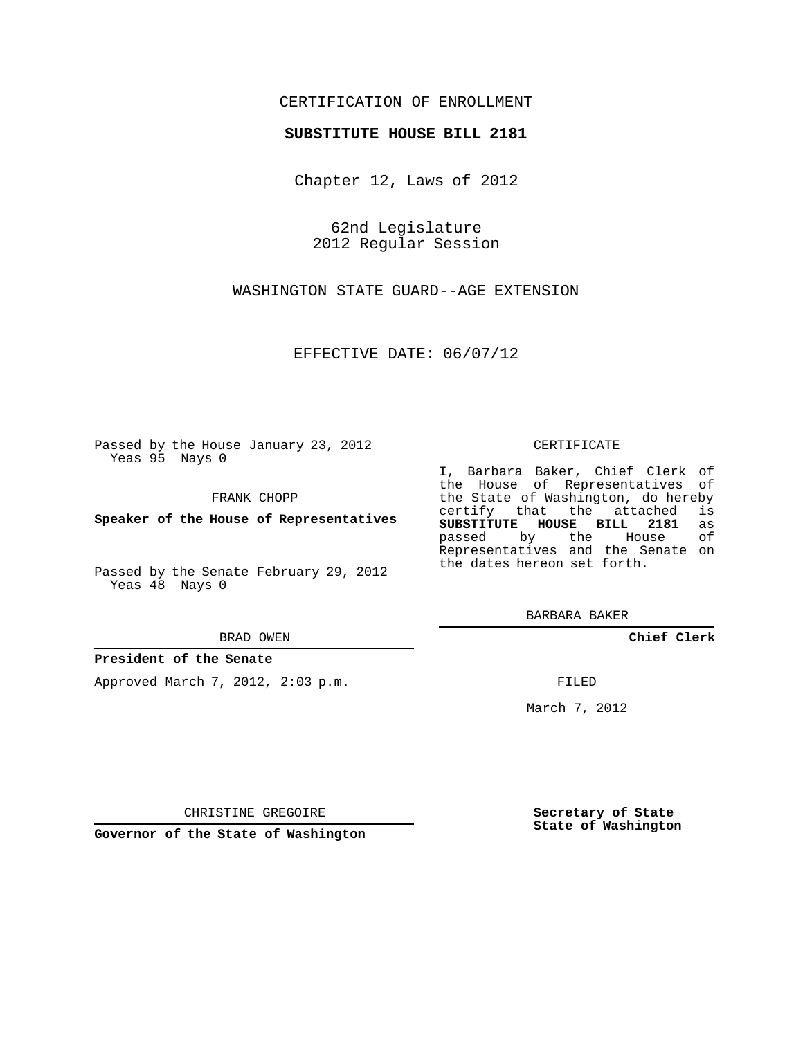## CERTIFICATION OF ENROLLMENT

### **SUBSTITUTE HOUSE BILL 2181**

Chapter 12, Laws of 2012

62nd Legislature 2012 Regular Session

WASHINGTON STATE GUARD--AGE EXTENSION

EFFECTIVE DATE: 06/07/12

Passed by the House January 23, 2012 Yeas 95 Nays 0

FRANK CHOPP

**Speaker of the House of Representatives**

Passed by the Senate February 29, 2012 Yeas 48 Nays 0

#### BRAD OWEN

### **President of the Senate**

Approved March 7, 2012, 2:03 p.m.

#### CERTIFICATE

I, Barbara Baker, Chief Clerk of the House of Representatives of the State of Washington, do hereby<br>certify that the attached is certify that the attached **SUBSTITUTE HOUSE BILL 2181** as passed by the Representatives and the Senate on the dates hereon set forth.

BARBARA BAKER

**Chief Clerk**

FILED

March 7, 2012

**Secretary of State State of Washington**

CHRISTINE GREGOIRE

**Governor of the State of Washington**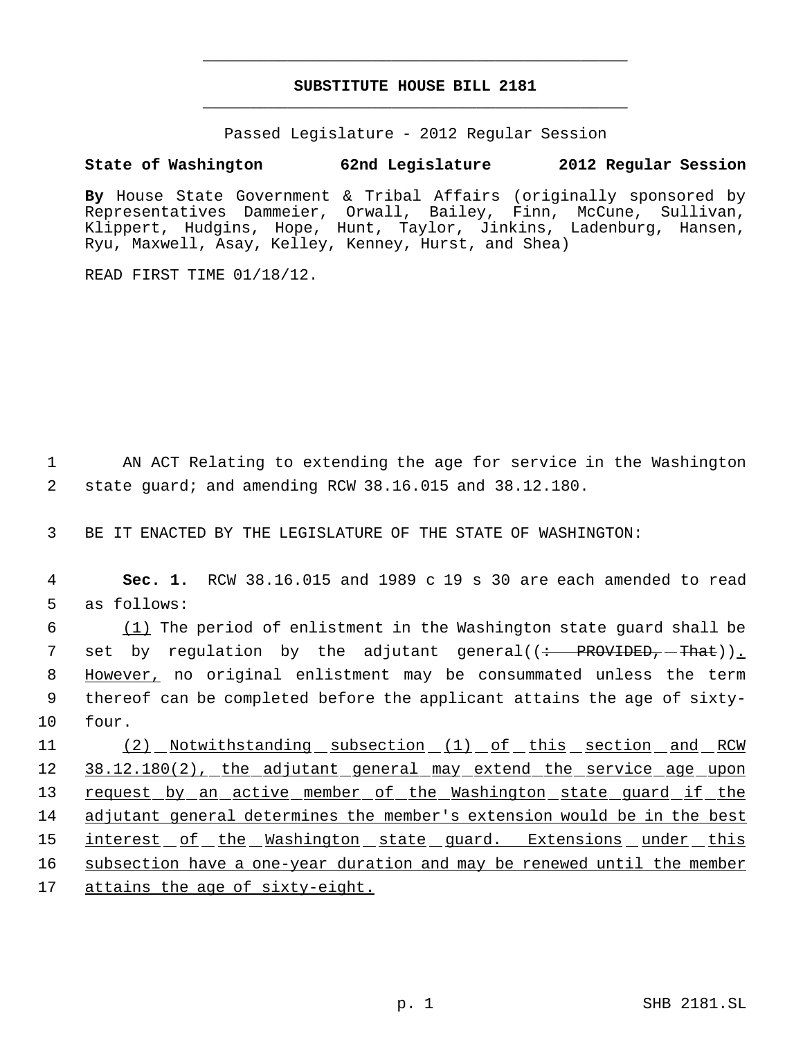# **SUBSTITUTE HOUSE BILL 2181** \_\_\_\_\_\_\_\_\_\_\_\_\_\_\_\_\_\_\_\_\_\_\_\_\_\_\_\_\_\_\_\_\_\_\_\_\_\_\_\_\_\_\_\_\_

\_\_\_\_\_\_\_\_\_\_\_\_\_\_\_\_\_\_\_\_\_\_\_\_\_\_\_\_\_\_\_\_\_\_\_\_\_\_\_\_\_\_\_\_\_

Passed Legislature - 2012 Regular Session

## **State of Washington 62nd Legislature 2012 Regular Session**

**By** House State Government & Tribal Affairs (originally sponsored by Representatives Dammeier, Orwall, Bailey, Finn, McCune, Sullivan, Klippert, Hudgins, Hope, Hunt, Taylor, Jinkins, Ladenburg, Hansen, Ryu, Maxwell, Asay, Kelley, Kenney, Hurst, and Shea)

READ FIRST TIME 01/18/12.

 1 AN ACT Relating to extending the age for service in the Washington 2 state guard; and amending RCW 38.16.015 and 38.12.180.

3 BE IT ENACTED BY THE LEGISLATURE OF THE STATE OF WASHINGTON:

 4 **Sec. 1.** RCW 38.16.015 and 1989 c 19 s 30 are each amended to read 5 as follows:

 6 (1) The period of enlistment in the Washington state guard shall be 7 set by regulation by the adjutant general((<del>: PROVIDED, That</del>))<u>.</u> 8 However, no original enlistment may be consummated unless the term 9 thereof can be completed before the applicant attains the age of sixty-10 four.

11 (2) Notwithstanding subsection (1) of this section and RCW 12 38.12.180(2), the adjutant general may extend the service age upon 13 request by an active member of the Washington state guard if the 14 adjutant general determines the member's extension would be in the best 15 interest of the Washington state guard. Extensions under this 16 subsection have a one-year duration and may be renewed until the member 17 attains the age of sixty-eight.